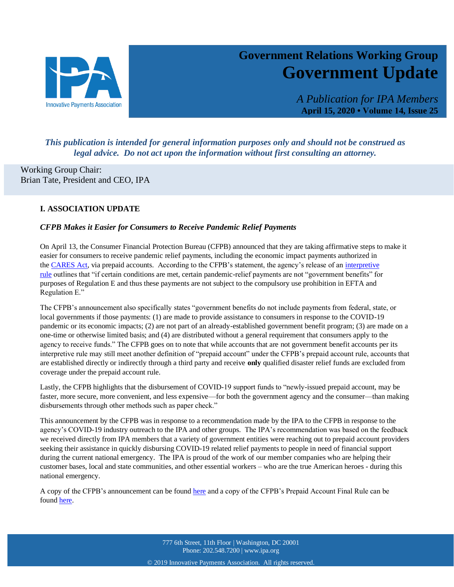

# **Government Relations Working Group Government Update**

*A Publication for IPA Members* **April 15, 2020 • Volume 14, Issue 25**

27

# *This publication is intended for general information purposes only and should not be construed as legal advice. Do not act upon the information without first consulting an attorney.*

Working Group Chair: Brian Tate, President and CEO, IPA

# **I. ASSOCIATION UPDATE**

## *CFPB Makes it Easier for Consumers to Receive Pandemic Relief Payments*

On April 13, the Consumer Financial Protection Bureau (CFPB) announced that they are taking affirmative steps to make it easier for consumers to receive pandemic relief payments, including the economic impact payments authorized in the [CARES Act,](https://ipa.cmail19.com/t/d-i-mthijhk-l-r/) via prepaid accounts. According to the CFPB's statement, the agency's release of an [interpretive](https://ipa.cmail19.com/t/d-i-mthijhk-l-j/)  [rule](https://ipa.cmail19.com/t/d-i-mthijhk-l-j/) outlines that "if certain conditions are met, certain pandemic-relief payments are not "government benefits" for purposes of Regulation E and thus these payments are not subject to the compulsory use prohibition in EFTA and Regulation E."

The CFPB's announcement also specifically states "government benefits do not include payments from federal, state, or local governments if those payments: (1) are made to provide assistance to consumers in response to the COVID-19 pandemic or its economic impacts; (2) are not part of an already-established government benefit program; (3) are made on a one-time or otherwise limited basis; and (4) are distributed without a general requirement that consumers apply to the agency to receive funds." The CFPB goes on to note that while accounts that are not government benefit accounts per its interpretive rule may still meet another definition of "prepaid account" under the CFPB's prepaid account rule, accounts that are established directly or indirectly through a third party and receive **only** qualified disaster relief funds are excluded from coverage under the prepaid account rule.

Lastly, the CFPB highlights that the disbursement of COVID-19 support funds to "newly-issued prepaid account, may be faster, more secure, more convenient, and less expensive—for both the government agency and the consumer—than making disbursements through other methods such as paper check."

This announcement by the CFPB was in response to a recommendation made by the IPA to the CFPB in response to the agency's COVID-19 industry outreach to the IPA and other groups. The IPA's recommendation was based on the feedback we received directly from IPA members that a variety of government entities were reaching out to prepaid account providers seeking their assistance in quickly disbursing COVID-19 related relief payments to people in need of financial support during the current national emergency. The IPA is proud of the work of our member companies who are helping their customer bases, local and state communities, and other essential workers – who are the true American heroes - during this national emergency.

A copy of the CFPB's announcement can be found [here](https://ipa.cmail19.com/t/d-i-mthijhk-l-t/) and a copy of the CFPB's Prepaid Account Final Rule can be found [here.](https://ipa.cmail19.com/t/d-i-mthijhk-l-i/)

> 777 6th Street, 11th Floor | Washington, DC 20001 Phone: 202.548.7200 | www.ipa.org

© 2019 Innovative Payments Association. All rights reserved.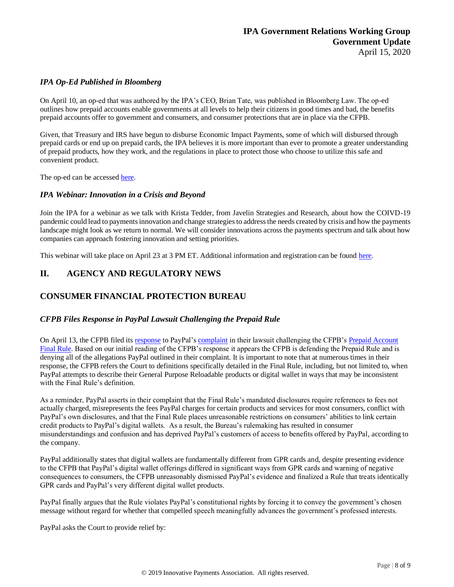#### *IPA Op-Ed Published in Bloomberg*

On April 10, an op-ed that was authored by the IPA's CEO, Brian Tate, was published in Bloomberg Law. The op-ed outlines how prepaid accounts enable governments at all levels to help their citizens in good times and bad, the benefits prepaid accounts offer to government and consumers, and consumer protections that are in place via the CFPB.

Given, that Treasury and IRS have begun to disburse Economic Impact Payments, some of which will disbursed through prepaid cards or end up on prepaid cards, the IPA believes it is more important than ever to promote a greater understanding of prepaid products, how they work, and the regulations in place to protect those who choose to utilize this safe and convenient product.

The op-ed can be accessed [here.](https://news.bloomberglaw.com/banking-law/insight-prepaid-cards-a-critical-tool-in-providing-financial-relief)

#### *IPA Webinar: Innovation in a Crisis and Beyond*

Join the IPA for a webinar as we talk with Krista Tedder, from Javelin Strategies and Research, about how the COIVD-19 pandemic could lead to payments innovation and change strategies to address the needs created by crisis and how the payments landscape might look as we return to normal. We will consider innovations across the payments spectrum and talk about how companies can approach fostering innovation and setting priorities.

This webinar will take place on April 23 at 3 PM ET. Additional information and registration can be found [here.](https://event.webinarjam.com/register/4/xxqkwt2)

# **II. AGENCY AND REGULATORY NEWS**

# **CONSUMER FINANCIAL PROTECTION BUREAU**

#### *CFPB Files Response in PayPal Lawsuit Challenging the Prepaid Rule*

On April 13, the CFPB filed its [response](https://www.ipa.org/media-members/GRWG/Leg-Reg-Other/CFPB%20Response%20to%20PayPal%204.13.20.pdf) to PayPal's [complaint](https://www.ipa.org/media-members/GRWG/Leg-Reg-Other/PayPal%20Complaint%2012.11.19.pdf) in their lawsuit challenging the CFPB's [Prepaid Account](https://www.consumerfinance.gov/policy-compliance/rulemaking/final-rules/prepaid-accounts-under-electronic-fund-transfer-act-regulation-e-and-truth-lending-act-regulation-z/)  [Final Rule.](https://www.consumerfinance.gov/policy-compliance/rulemaking/final-rules/prepaid-accounts-under-electronic-fund-transfer-act-regulation-e-and-truth-lending-act-regulation-z/) Based on our initial reading of the CFPB's response it appears the CFPB is defending the Prepaid Rule and is denying all of the allegations PayPal outlined in their complaint. It is important to note that at numerous times in their response, the CFPB refers the Court to definitions specifically detailed in the Final Rule, including, but not limited to, when PayPal attempts to describe their General Purpose Reloadable products or digital wallet in ways that may be inconsistent with the Final Rule's definition.

As a reminder, PayPal asserts in their complaint that the Final Rule's mandated disclosures require references to fees not actually charged, misrepresents the fees PayPal charges for certain products and services for most consumers, conflict with PayPal's own disclosures, and that the Final Rule places unreasonable restrictions on consumers' abilities to link certain credit products to PayPal's digital wallets. As a result, the Bureau's rulemaking has resulted in consumer misunderstandings and confusion and has deprived PayPal's customers of access to benefits offered by PayPal, according to the company.

PayPal additionally states that digital wallets are fundamentally different from GPR cards and, despite presenting evidence to the CFPB that PayPal's digital wallet offerings differed in significant ways from GPR cards and warning of negative consequences to consumers, the CFPB unreasonably dismissed PayPal's evidence and finalized a Rule that treats identically GPR cards and PayPal's very different digital wallet products.

PayPal finally argues that the Rule violates PayPal's constitutional rights by forcing it to convey the government's chosen message without regard for whether that compelled speech meaningfully advances the government's professed interests.

PayPal asks the Court to provide relief by: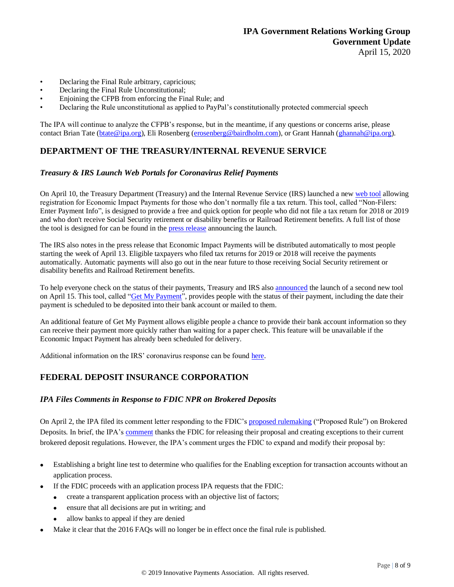- Declaring the Final Rule arbitrary, capricious;
- Declaring the Final Rule Unconstitutional;
- Enjoining the CFPB from enforcing the Final Rule; and
- Declaring the Rule unconstitutional as applied to PayPal's constitutionally protected commercial speech

The IPA will continue to analyze the CFPB's response, but in the meantime, if any questions or concerns arise, please contact Brian Tate [\(btate@ipa.org\)](mailto:btate@ipa.org), Eli Rosenberg [\(erosenberg@bairdholm.com\)](mailto:erosenberg@bairdholm.com), or Grant Hannah [\(ghannah@ipa.org\)](mailto:ghannah@ipa.org).

# **DEPARTMENT OF THE TREASURY/INTERNAL REVENUE SERVICE**

#### *Treasury & IRS Launch Web Portals for Coronavirus Relief Payments*

On April 10, the Treasury Department (Treasury) and the Internal Revenue Service (IRS) launched a new [web tool](https://www.irs.gov/coronavirus/non-filers-enter-payment-info-here) allowing registration for Economic Impact Payments for those who don't normally file a tax return. This tool, called "Non-Filers: Enter Payment Info", is designed to provide a free and quick option for people who did not file a tax return for 2018 or 2019 and who don't receive Social Security retirement or disability benefits or Railroad Retirement benefits. A full list of those the tool is designed for can be found in the [press release](https://www.irs.gov/newsroom/treasury-irs-launch-new-tool-to-help-non-filers-register-for-economic-impact-payments) announcing the launch.

The IRS also notes in the press release that Economic Impact Payments will be distributed automatically to most people starting the week of April 13. Eligible taxpayers who filed tax returns for 2019 or 2018 will receive the payments automatically. Automatic payments will also go out in the near future to those receiving Social Security retirement or disability benefits and Railroad Retirement benefits.

To help everyone check on the status of their payments, Treasury and IRS als[o announced](https://home.treasury.gov/news/press-releases/sm978) the launch of a second new tool on April 15. This tool, called ["Get My Payment"](https://www.irs.gov/coronavirus/get-my-payment), provides people with the status of their payment, including the date their payment is scheduled to be deposited into their bank account or mailed to them.

An additional feature of Get My Payment allows eligible people a chance to provide their bank account information so they can receive their payment more quickly rather than waiting for a paper check. This feature will be unavailable if the Economic Impact Payment has already been scheduled for delivery.

Additional information on the IRS' coronavirus response can be found [here.](https://www.irs.gov/coronavirus-tax-relief-and-economic-impact-payments)

# **FEDERAL DEPOSIT INSURANCE CORPORATION**

#### *IPA Files Comments in Response to FDIC NPR on Brokered Deposits*

On April 2, the IPA filed its comment letter responding to the FDIC's [proposed rulemaking](https://ipa.cmail19.com/t/d-i-mtyllyk-l-r/) ("Proposed Rule") on Brokered Deposits. In brief, the IPA's [comment](https://ipa.cmail19.com/t/d-i-mtyllyk-l-y/) thanks the FDIC for releasing their proposal and creating exceptions to their current brokered deposit regulations. However, the IPA's comment urges the FDIC to expand and modify their proposal by:

- Establishing a bright line test to determine who qualifies for the Enabling exception for transaction accounts without an application process.
- If the FDIC proceeds with an application process IPA requests that the FDIC:
	- create a transparent application process with an objective list of factors;
	- ensure that all decisions are put in writing; and
	- allow banks to appeal if they are denied
- Make it clear that the 2016 FAQs will no longer be in effect once the final rule is published.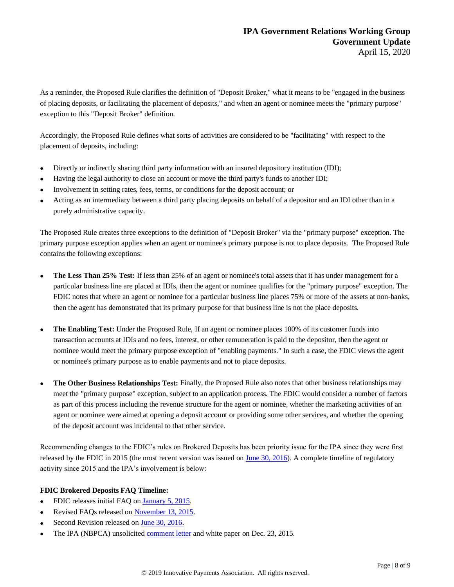As a reminder, the Proposed Rule clarifies the definition of "Deposit Broker," what it means to be "engaged in the business of placing deposits, or facilitating the placement of deposits," and when an agent or nominee meets the "primary purpose" exception to this "Deposit Broker" definition.

Accordingly, the Proposed Rule defines what sorts of activities are considered to be "facilitating" with respect to the placement of deposits, including:

- Directly or indirectly sharing third party information with an insured depository institution (IDI);
- Having the legal authority to close an account or move the third party's funds to another IDI;
- Involvement in setting rates, fees, terms, or conditions for the deposit account; or
- Acting as an intermediary between a third party placing deposits on behalf of a depositor and an IDI other than in a purely administrative capacity.

The Proposed Rule creates three exceptions to the definition of "Deposit Broker" via the "primary purpose" exception. The primary purpose exception applies when an agent or nominee's primary purpose is not to place deposits. The Proposed Rule contains the following exceptions:

- **The Less Than 25% Test:** If less than 25% of an agent or nominee's total assets that it has under management for a particular business line are placed at IDIs, then the agent or nominee qualifies for the "primary purpose" exception. The FDIC notes that where an agent or nominee for a particular business line places 75% or more of the assets at non-banks, then the agent has demonstrated that its primary purpose for that business line is not the place deposits.
- **The Enabling Test:** Under the Proposed Rule, If an agent or nominee places 100% of its customer funds into transaction accounts at IDIs and no fees, interest, or other remuneration is paid to the depositor, then the agent or nominee would meet the primary purpose exception of "enabling payments." In such a case, the FDIC views the agent or nominee's primary purpose as to enable payments and not to place deposits.
- **The Other Business Relationships Test:** Finally, the Proposed Rule also notes that other business relationships may meet the "primary purpose" exception, subject to an application process. The FDIC would consider a number of factors as part of this process including the revenue structure for the agent or nominee, whether the marketing activities of an agent or nominee were aimed at opening a deposit account or providing some other services, and whether the opening of the deposit account was incidental to that other service.

Recommending changes to the FDIC's rules on Brokered Deposits has been priority issue for the IPA since they were first released by the FDIC in 2015 (the most recent version was issued on [June 30, 2016\)](https://ipa.cmail19.com/t/d-i-mtyllyk-l-j/). A complete timeline of regulatory activity since 2015 and the IPA's involvement is below:

#### **FDIC Brokered Deposits FAQ Timeline:**

- FDIC releases initial FAQ on [January 5, 2015.](https://ipa.cmail19.com/t/d-i-mtyllyk-l-t/)
- Revised FAQs released on [November 13, 2015.](https://ipa.cmail19.com/t/d-i-mtyllyk-l-i/)
- Second Revision released on [June 30, 2016.](https://ipa.cmail19.com/t/d-i-mtyllyk-l-d/)
- The IPA (NBPCA) unsolicited [comment letter](https://ipa.cmail19.com/t/d-i-mtyllyk-l-h/) and white paper on Dec. 23, 2015.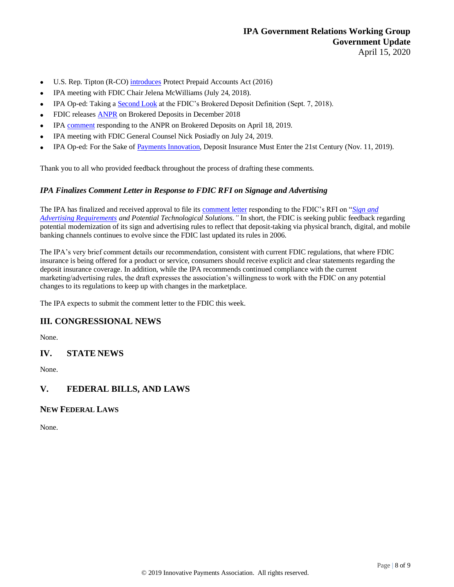- U.S. Rep. Tipton (R-CO) [introduces](https://ipa.cmail19.com/t/d-i-mtyllyk-l-k/) Protect Prepaid Accounts Act (2016)
- IPA meeting with FDIC Chair Jelena McWilliams (July 24, 2018).
- IPA Op-ed: Taking a [Second Look](https://ipa.cmail19.com/t/d-i-mtyllyk-l-u/) at the FDIC's Brokered Deposit Definition (Sept. 7, 2018).
- FDIC releases [ANPR](https://ipa.cmail19.com/t/d-i-mtyllyk-l-b/) on Brokered Deposits in December 2018
- IPA [comment](https://ipa.cmail19.com/t/d-i-mtyllyk-l-n/) responding to the ANPR on Brokered Deposits on April 18, 2019.
- IPA meeting with FDIC General Counsel Nick Posiadly on July 24, 2019.
- IPA Op-ed: For the Sake of [Payments Innovation,](https://ipa.cmail19.com/t/d-i-mtyllyk-l-p/) Deposit Insurance Must Enter the 21st Century (Nov. 11, 2019).

Thank you to all who provided feedback throughout the process of drafting these comments.

#### *IPA Finalizes Comment Letter in Response to FDIC RFI on Signage and Advertising*

The IPA has finalized and received approval to file its [comment letter](https://www.ipa.org/media-members/GRWG/Leg-Reg-Other/2434481%20v2%20IPA%20Comment%20Letter%20to%20FDIC%20Regarding%20Advertising%20RFI.pdf) responding to the FDIC's RFI on "*[Sign and](https://www.fdic.gov/news/news/press/2020/pr20014a.pdf)  [Advertising Requirements](https://www.fdic.gov/news/news/press/2020/pr20014a.pdf) and Potential Technological Solutions."* In short, the FDIC is seeking public feedback regarding potential modernization of its sign and advertising rules to reflect that deposit-taking via physical branch, digital, and mobile banking channels continues to evolve since the FDIC last updated its rules in 2006.

The IPA's very brief comment details our recommendation, consistent with current FDIC regulations, that where FDIC insurance is being offered for a product or service, consumers should receive explicit and clear statements regarding the deposit insurance coverage. In addition, while the IPA recommends continued compliance with the current marketing/advertising rules, the draft expresses the association's willingness to work with the FDIC on any potential changes to its regulations to keep up with changes in the marketplace.

The IPA expects to submit the comment letter to the FDIC this week.

## **III. CONGRESSIONAL NEWS**

None.

## **IV. STATE NEWS**

None.

## **V. FEDERAL BILLS, AND LAWS**

## **NEW FEDERAL LAWS**

None.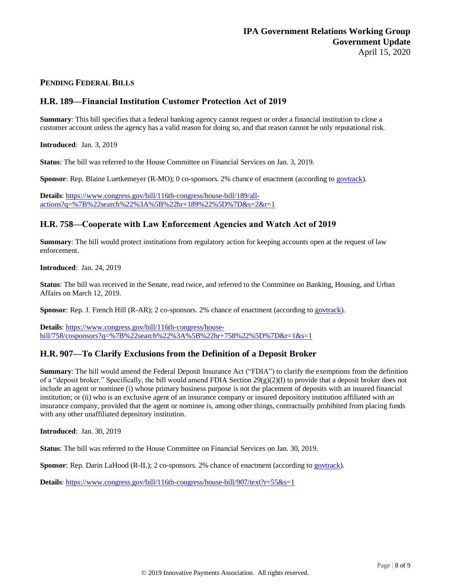#### **PENDING FEDERAL BILLS**

## **H.R. 189—Financial Institution Customer Protection Act of 2019**

**Summary**: This bill specifies that a federal banking agency cannot request or order a financial institution to close a customer account unless the agency has a valid reason for doing so, and that reason cannot be only reputational risk.

**Introduced**: Jan. 3, 2019

**Status**: The bill was referred to the House Committee on Financial Services on Jan. 3, 2019.

**Sponsor**: Rep. Blaine Luetkemeyer (R-MO); 0 co-sponsors. 2% chance of enactment (according t[o govtrack\)](https://www.govtrack.us/congress/bills/116/hr189).

**Details**: [https://www.congress.gov/bill/116th-congress/house-bill/189/all](https://www.congress.gov/bill/116th-congress/house-bill/189/all-actions?q=%7B%22search%22%3A%5B%22hr+189%22%5D%7D&s=2&r=1)[actions?q=%7B%22search%22%3A%5B%22hr+189%22%5D%7D&s=2&r=1](https://www.congress.gov/bill/116th-congress/house-bill/189/all-actions?q=%7B%22search%22%3A%5B%22hr+189%22%5D%7D&s=2&r=1)

## **H.R. 758—Cooperate with Law Enforcement Agencies and Watch Act of 2019**

**Summary**: The bill would protect institutions from regulatory action for keeping accounts open at the request of law enforcement.

**Introduced**: Jan. 24, 2019

**Status**: The bill was received in the Senate, read twice, and referred to the Committee on Banking, Housing, and Urban Affairs on March 12, 2019.

**Sponsor**: Rep. J. French Hill (R-AR); 2 co-sponsors. 2% chance of enactment (according to [govtrack\)](https://www.govtrack.us/congress/bills/116/hr758).

**Details**: [https://www.congress.gov/bill/116th-congress/house](https://www.congress.gov/bill/116th-congress/house-bill/758/cosponsors?q=%7B%22search%22%3A%5B%22hr+758%22%5D%7D&r=1&s=1)[bill/758/cosponsors?q=%7B%22search%22%3A%5B%22hr+758%22%5D%7D&r=1&s=1](https://www.congress.gov/bill/116th-congress/house-bill/758/cosponsors?q=%7B%22search%22%3A%5B%22hr+758%22%5D%7D&r=1&s=1)

## **H.R. 907—To Clarify Exclusions from the Definition of a Deposit Broker**

**Summary**: The bill would amend the Federal Deposit Insurance Act ("FDIA") to clarify the exemptions from the definition of a "deposit broker." Specifically, the bill would amend FDIA Section 29(g)(2)(I) to provide that a deposit broker does not include an agent or nominee (i) whose primary business purpose is not the placement of deposits with an insured financial institution; or (ii) who is an exclusive agent of an insurance company or insured depository institution affiliated with an insurance company, provided that the agent or nominee is, among other things, contractually prohibited from placing funds with any other unaffiliated depository institution.

**Introduced**: Jan. 30, 2019

**Status**: The bill was referred to the House Committee on Financial Services on Jan. 30, 2019.

**Sponsor**: Rep. Darin LaHood (R-IL); 2 co-sponsors. 2% chance of enactment (according t[o govtrack\)](https://www.govtrack.us/congress/bills/116/hr907).

**Details**[: https://www.congress.gov/bill/116th-congress/house-bill/907/text?r=55&s=1](https://www.congress.gov/bill/116th-congress/house-bill/907/text?r=55&s=1)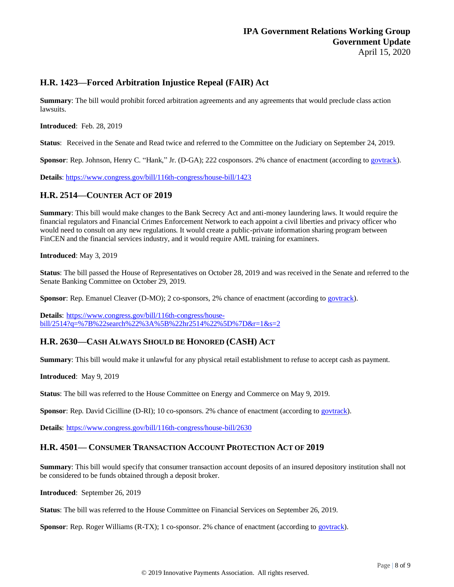## **H.R. 1423—Forced Arbitration Injustice Repeal (FAIR) Act**

**Summary**: The bill would prohibit forced arbitration agreements and any agreements that would preclude class action lawsuits.

**Introduced**: Feb. 28, 2019

**Status**: Received in the Senate and Read twice and referred to the Committee on the Judiciary on September 24, 2019.

**Sponsor**: Rep. Johnson, Henry C. "Hank," Jr. (D-GA); 222 cosponsors. 2% chance of enactment (according to [govtrack\)](https://www.govtrack.us/congress/bills/116/hr1423).

**Details**: <https://www.congress.gov/bill/116th-congress/house-bill/1423>

## **H.R. 2514—COUNTER ACT OF 2019**

**Summary**: This bill would make changes to the Bank Secrecy Act and anti-money laundering laws. It would require the financial regulators and Financial Crimes Enforcement Network to each appoint a civil liberties and privacy officer who would need to consult on any new regulations. It would create a public-private information sharing program between FinCEN and the financial services industry, and it would require AML training for examiners.

**Introduced**: May 3, 2019

**Status**: The bill passed the House of Representatives on October 28, 2019 and was received in the Senate and referred to the Senate Banking Committee on October 29, 2019.

**Sponsor**: Rep. Emanuel Cleaver (D-MO); 2 co-sponsors, 2% chance of enactment (according to [govtrack\)](https://www.govtrack.us/congress/bills/116/hr2514).

**Details**: [https://www.congress.gov/bill/116th-congress/house](https://www.congress.gov/bill/116th-congress/house-bill/2514?q=%7B%22search%22%3A%5B%22hr2514%22%5D%7D&r=1&s=2)[bill/2514?q=%7B%22search%22%3A%5B%22hr2514%22%5D%7D&r=1&s=2](https://www.congress.gov/bill/116th-congress/house-bill/2514?q=%7B%22search%22%3A%5B%22hr2514%22%5D%7D&r=1&s=2)

# **H.R. 2630—CASH ALWAYS SHOULD BE HONORED (CASH) ACT**

**Summary**: This bill would make it unlawful for any physical retail establishment to refuse to accept cash as payment.

**Introduced**: May 9, 2019

**Status**: The bill was referred to the House Committee on Energy and Commerce on May 9, 2019.

Sponsor: Rep. David Cicilline (D-RI); 10 co-sponsors. 2% chance of enactment (according to [govtrack\)](https://www.govtrack.us/congress/bills/116/hr2630).

**Details**: <https://www.congress.gov/bill/116th-congress/house-bill/2630>

## **H.R. 4501— CONSUMER TRANSACTION ACCOUNT PROTECTION ACT OF 2019**

**Summary**: This bill would specify that consumer transaction account deposits of an insured depository institution shall not be considered to be funds obtained through a deposit broker.

**Introduced**: September 26, 2019

**Status**: The bill was referred to the House Committee on Financial Services on September 26, 2019.

**Sponsor**: Rep. Roger Williams (R-TX); 1 co-sponsor. 2% chance of enactment (according to [govtrack\)](https://www.govtrack.us/congress/bills/116/hr4501).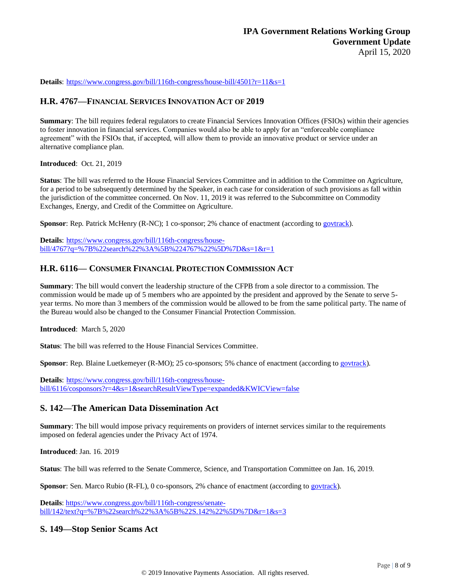**Details**: <https://www.congress.gov/bill/116th-congress/house-bill/4501?r=11&s=1>

## **H.R. 4767—FINANCIAL SERVICES INNOVATION ACT OF 2019**

**Summary**: The bill requires federal regulators to create Financial Services Innovation Offices (FSIOs) within their agencies to foster innovation in financial services. Companies would also be able to apply for an "enforceable compliance agreement" with the FSIOs that, if accepted, will allow them to provide an innovative product or service under an alternative compliance plan.

#### **Introduced**: Oct. 21, 2019

**Status**: The bill was referred to the House Financial Services Committee and in addition to the Committee on Agriculture, for a period to be subsequently determined by the Speaker, in each case for consideration of such provisions as fall within the jurisdiction of the committee concerned. On Nov. 11, 2019 it was referred to the Subcommittee on Commodity Exchanges, Energy, and Credit of the Committee on Agriculture.

**Sponsor**: Rep. Patrick McHenry (R-NC); 1 co-sponsor; 2% chance of enactment (according t[o govtrack\)](https://www.govtrack.us/congress/bills/116/hr4767).

**Details**: [https://www.congress.gov/bill/116th-congress/house](https://www.congress.gov/bill/116th-congress/house-bill/4767?q=%7B%22search%22%3A%5B%224767%22%5D%7D&s=1&r=1)[bill/4767?q=%7B%22search%22%3A%5B%224767%22%5D%7D&s=1&r=1](https://www.congress.gov/bill/116th-congress/house-bill/4767?q=%7B%22search%22%3A%5B%224767%22%5D%7D&s=1&r=1)

## **H.R. 6116— CONSUMER FINANCIAL PROTECTION COMMISSION ACT**

**Summary**: The bill would convert the leadership structure of the CFPB from a sole director to a commission. The commission would be made up of 5 members who are appointed by the president and approved by the Senate to serve 5 year terms. No more than 3 members of the commission would be allowed to be from the same political party. The name of the Bureau would also be changed to the Consumer Financial Protection Commission.

**Introduced**: March 5, 2020

**Status:** The bill was referred to the House Financial Services Committee.

**Sponsor**: Rep. Blaine Luetkemeyer (R-MO); 25 co-sponsors; 5% chance of enactment (according to [govtrack\)](https://www.govtrack.us/congress/bills/116/hr6116).

**Details**: [https://www.congress.gov/bill/116th-congress/house](https://www.congress.gov/bill/116th-congress/house-bill/6116/cosponsors?r=4&s=1&searchResultViewType=expanded&KWICView=false)[bill/6116/cosponsors?r=4&s=1&searchResultViewType=expanded&KWICView=false](https://www.congress.gov/bill/116th-congress/house-bill/6116/cosponsors?r=4&s=1&searchResultViewType=expanded&KWICView=false)

## **S. 142—The American Data Dissemination Act**

**Summary**: The bill would impose privacy requirements on providers of internet services similar to the requirements imposed on federal agencies under the Privacy Act of 1974.

**Introduced**: Jan. 16. 2019

**Status**: The bill was referred to the Senate Commerce, Science, and Transportation Committee on Jan. 16, 2019.

**Sponsor**: Sen. Marco Rubio (R-FL), 0 co-sponsors, 2% chance of enactment (according t[o govtrack\)](https://www.govtrack.us/congress/bills/116/s142).

**Details**[: https://www.congress.gov/bill/116th-congress/senate](https://www.congress.gov/bill/116th-congress/senate-bill/142/text?q=%7B%22search%22%3A%5B%22S.142%22%5D%7D&r=1&s=3)[bill/142/text?q=%7B%22search%22%3A%5B%22S.142%22%5D%7D&r=1&s=3](https://www.congress.gov/bill/116th-congress/senate-bill/142/text?q=%7B%22search%22%3A%5B%22S.142%22%5D%7D&r=1&s=3)

## **S. 149—Stop Senior Scams Act**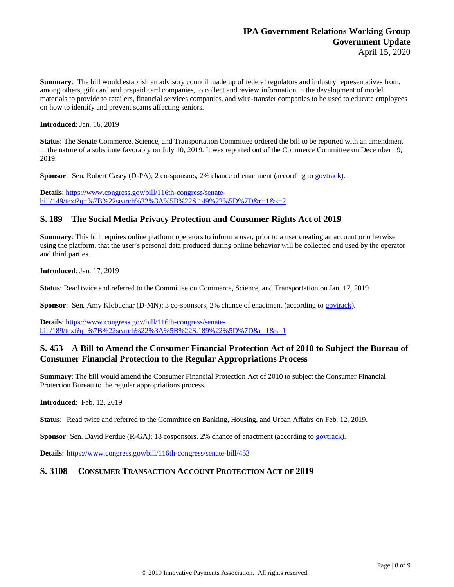**Summary**: The bill would establish an advisory council made up of federal regulators and industry representatives from, among others, gift card and prepaid card companies, to collect and review information in the development of model materials to provide to retailers, financial services companies, and wire-transfer companies to be used to educate employees on how to identify and prevent scams affecting seniors.

**Introduced**: Jan. 16, 2019

**Status**: The Senate Commerce, Science, and Transportation Committee ordered the bill to be reported with an amendment in the nature of a substitute favorably on July 10, 2019. It was reported out of the Commerce Committee on December 19, 2019.

**Sponsor**: Sen. Robert Casey (D-PA); 2 co-sponsors, 2% chance of enactment (according to [govtrack\)](https://www.govtrack.us/congress/bills/116/s149).

**Details**[: https://www.congress.gov/bill/116th-congress/senate](https://www.congress.gov/bill/116th-congress/senate-bill/149/text?q=%7B%22search%22%3A%5B%22S.149%22%5D%7D&r=1&s=2)[bill/149/text?q=%7B%22search%22%3A%5B%22S.149%22%5D%7D&r=1&s=2](https://www.congress.gov/bill/116th-congress/senate-bill/149/text?q=%7B%22search%22%3A%5B%22S.149%22%5D%7D&r=1&s=2)

## **S. 189—The Social Media Privacy Protection and [Consumer](https://www.congress.gov/bill/116th-congress/senate-bill/189?q=%7B%22search%22%3A%5B%22S.+189%22%5D%7D&s=2&r=1) Rights Act of 2019**

**Summary**: This bill requires online platform operators to inform a user, prior to a user creating an account or otherwise using the platform, that the user's personal data produced during online behavior will be collected and used by the operator and third parties.

**Introduced**: Jan. 17, 2019

**Status**: Read twice and referred to the Committee on Commerce, Science, and Transportation on Jan. 17, 2019

**Sponsor**: Sen. Amy Klobuchar (D-MN); 3 co-sponsors, 2% chance of enactment (according to [govtrack\)](https://www.govtrack.us/congress/bills/116/s189).

**Details**[: https://www.congress.gov/bill/116th-congress/senate](https://www.congress.gov/bill/116th-congress/senate-bill/189/text?q=%7B%22search%22%3A%5B%22S.189%22%5D%7D&r=1&s=1)[bill/189/text?q=%7B%22search%22%3A%5B%22S.189%22%5D%7D&r=1&s=1](https://www.congress.gov/bill/116th-congress/senate-bill/189/text?q=%7B%22search%22%3A%5B%22S.189%22%5D%7D&r=1&s=1)

# **S. 453—A Bill to Amend the Consumer Financial Protection Act of 2010 to Subject the Bureau of Consumer Financial Protection to the Regular Appropriations Process**

**Summary**: The bill would amend the Consumer Financial Protection Act of 2010 to subject the Consumer Financial Protection Bureau to the regular appropriations process.

#### **Introduced**: Feb. 12, 2019

**Status**: Read twice and referred to the Committee on Banking, Housing, and Urban Affairs on Feb. 12, 2019.

**Sponsor**: Sen. David Perdue (R-GA); 18 cosponsors. 2% chance of enactment (according to [govtrack\)](https://www.govtrack.us/congress/bills/116/s453).

**Details**: <https://www.congress.gov/bill/116th-congress/senate-bill/453>

## **S. 3108— CONSUMER TRANSACTION ACCOUNT PROTECTION ACT OF 2019**